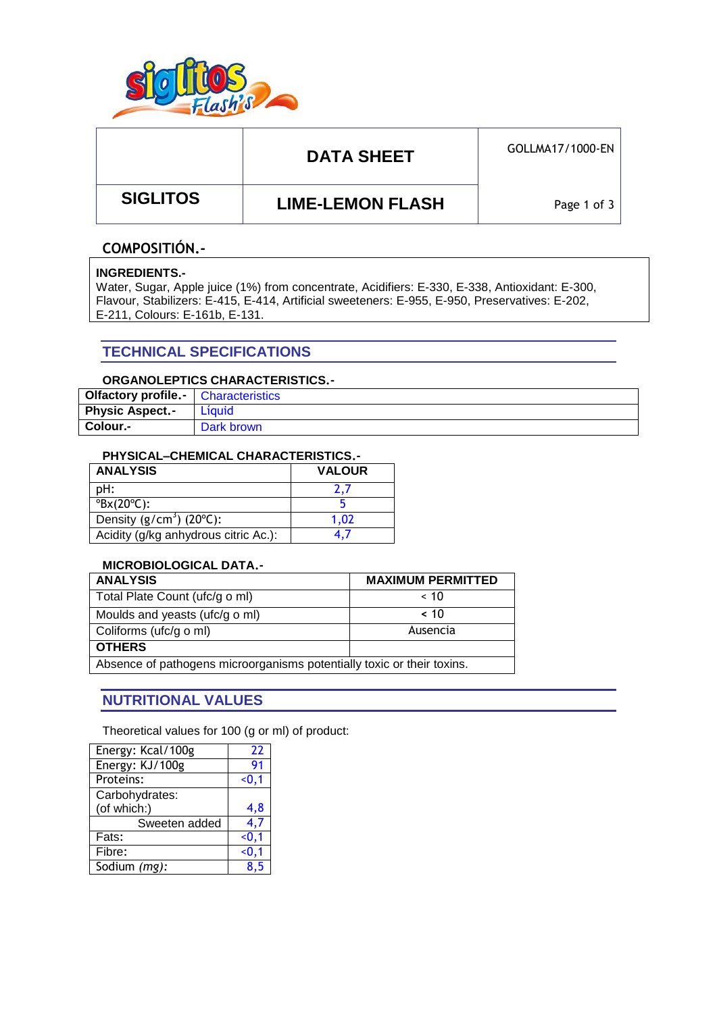

# DATA SHEET **GOLLMA17/1000-EN**

 **SIGLITOS LIME-LEMON FLASH**

Page 1 of 3

### **COMPOSITIÓN.-**

#### **INGREDIENTS.-**

Water, Sugar, Apple juice (1%) from concentrate, Acidifiers: E-330, E-338, Antioxidant: E-300, Flavour, Stabilizers: E-415, E-414, Artificial sweeteners: E-955, E-950, Preservatives: E-202, E-211, Colours: E-161b, E-131.

### **TECHNICAL SPECIFICATIONS**

### **ORGANOLEPTICS CHARACTERISTICS.-**

| <b>Olfactory profile.</b> Characteristics |            |
|-------------------------------------------|------------|
| <b>Physic Aspect.-</b>                    | Líquid     |
| Colour.-                                  | Dark brown |

#### **PHYSICAL–CHEMICAL CHARACTERISTICS.-**

| <b>ANALYSIS</b>                        | <b>VALOUR</b> |  |  |
|----------------------------------------|---------------|--|--|
| pH:                                    |               |  |  |
| $\mathrm{PBX}(20^{\circ}\mathrm{C})$ : |               |  |  |
| Density $(g/cm3)$ (20 $°C$ ):          | 1.02          |  |  |
| Acidity (g/kg anhydrous citric Ac.):   |               |  |  |

#### **MICROBIOLOGICAL DATA.-**

| <b>ANALYSIS</b>                                                        | <b>MAXIMUM PERMITTED</b> |  |  |
|------------------------------------------------------------------------|--------------------------|--|--|
| Total Plate Count (ufc/g o ml)                                         | ~< 10                    |  |  |
| Moulds and yeasts (ufc/g o ml)                                         | ~< 10                    |  |  |
| Coliforms (ufc/g o ml)                                                 | Ausencia                 |  |  |
| <b>OTHERS</b>                                                          |                          |  |  |
| Absence of pathogens microorganisms potentially toxic or their toxins. |                          |  |  |

### **NUTRITIONAL VALUES**

Theoretical values for 100 (g or ml) of product:

| Energy: Kcal/100g | 22     |
|-------------------|--------|
| Energy: KJ/100g   | 91     |
| Proteins:         | < 0, 1 |
| Carbohydrates:    |        |
| (of which:)       | 4,8    |
| Sweeten added     | 4.7    |
| Fats:             | < 0, 1 |
| Fibre:            | < 0, 1 |
| Sodium (mg):      | 8.5    |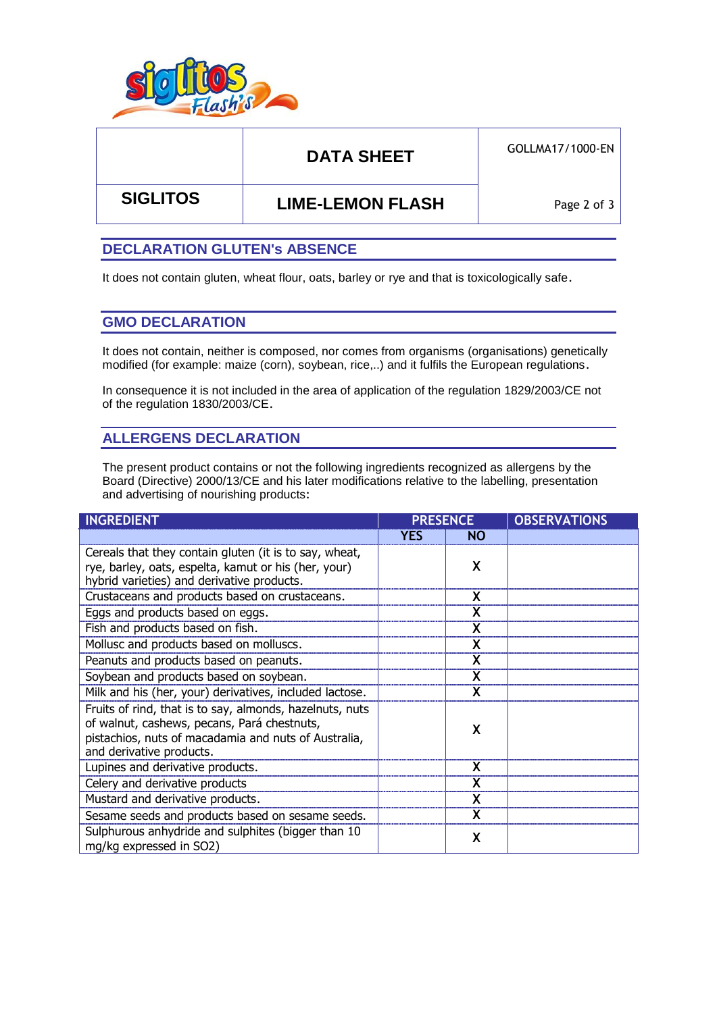

# DATA SHEET **GOLLMA17/1000-EN**

 **SIGLITOS LIME-LEMON FLASH**

Page 2 of 3

### **DECLARATION GLUTEN's ABSENCE**

It does not contain gluten, wheat flour, oats, barley or rye and that is toxicologically safe.

### **GMO DECLARATION**

It does not contain, neither is composed, nor comes from organisms (organisations) genetically modified (for example: maize (corn), soybean, rice,..) and it fulfils the European regulations.

In consequence it is not included in the area of application of the regulation 1829/2003/CE not of the regulation 1830/2003/CE.

## **ALLERGENS DECLARATION**

The present product contains or not the following ingredients recognized as allergens by the Board (Directive) 2000/13/CE and his later modifications relative to the labelling, presentation and advertising of nourishing products:

| <b>INGREDIENT</b>                                                                                                                                                                           | <b>PRESENCE</b> |           | <b>OBSERVATIONS</b> |
|---------------------------------------------------------------------------------------------------------------------------------------------------------------------------------------------|-----------------|-----------|---------------------|
|                                                                                                                                                                                             | <b>YES</b>      | <b>NO</b> |                     |
| Cereals that they contain gluten (it is to say, wheat,<br>rye, barley, oats, espelta, kamut or his (her, your)<br>hybrid varieties) and derivative products.                                |                 | X         |                     |
| Crustaceans and products based on crustaceans.                                                                                                                                              |                 | X         |                     |
| Eggs and products based on eggs.                                                                                                                                                            |                 | X         |                     |
| Fish and products based on fish.                                                                                                                                                            |                 |           |                     |
| Mollusc and products based on molluscs.                                                                                                                                                     |                 | X         |                     |
| Peanuts and products based on peanuts.                                                                                                                                                      |                 | X         |                     |
| Soybean and products based on soybean.                                                                                                                                                      |                 | X         |                     |
| Milk and his (her, your) derivatives, included lactose.                                                                                                                                     |                 |           |                     |
| Fruits of rind, that is to say, almonds, hazelnuts, nuts<br>of walnut, cashews, pecans, Pará chestnuts,<br>pistachios, nuts of macadamia and nuts of Australia,<br>and derivative products. |                 | χ         |                     |
| Lupines and derivative products.                                                                                                                                                            |                 | X         |                     |
| Celery and derivative products                                                                                                                                                              |                 |           |                     |
| Mustard and derivative products.                                                                                                                                                            |                 |           |                     |
| Sesame seeds and products based on sesame seeds.                                                                                                                                            |                 | X         |                     |
| Sulphurous anhydride and sulphites (bigger than 10<br>mg/kg expressed in SO2)                                                                                                               |                 | X         |                     |